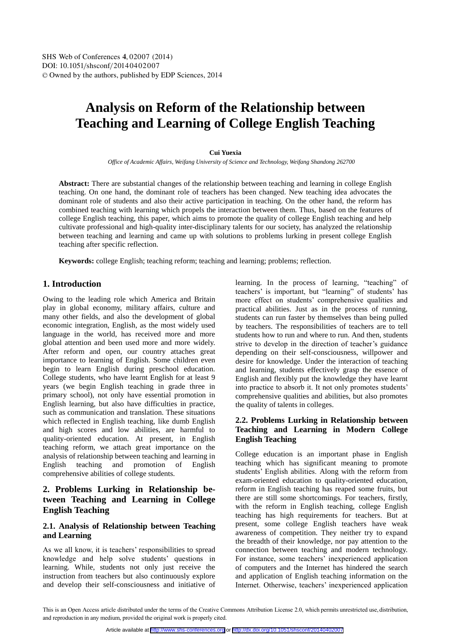DOI: 10.1051/shsconf/20140402007 <sup>C</sup> Owned by the authors, published by EDP Sciences, 2014 SHS Web of Conferences 4, 02007 (2014)

# **Analysis on Reform of the Relationship between Teaching and Learning of College English Teaching**

#### **Cui Yuexia**

*Office of Academic Affairs, Weifang University of Science and Technology, Weifang Shandong 262700*

**Abstract:** There are substantial changes of the relationship between teaching and learning in college English teaching. On one hand, the dominant role of teachers has been changed. New teaching idea advocates the dominant role of students and also their active participation in teaching. On the other hand, the reform has combined teaching with learning which propels the interaction between them. Thus, based on the features of college English teaching, this paper, which aims to promote the quality of college English teaching and help cultivate professional and high-quality inter-disciplinary talents for our society, has analyzed the relationship between teaching and learning and came up with solutions to problems lurking in present college English teaching after specific reflection.

**Keywords:** college English; teaching reform; teaching and learning; problems; reflection.

#### **1. Introduction**

Owing to the leading role which America and Britain play in global economy, military affairs, culture and many other fields, and also the development of global economic integration, English, as the most widely used language in the world, has received more and more global attention and been used more and more widely. After reform and open, our country attaches great importance to learning of English. Some children even begin to learn English during preschool education. College students, who have learnt English for at least 9 years (we begin English teaching in grade three in primary school), not only have essential promotion in English learning, but also have difficulties in practice, such as communication and translation. These situations which reflected in English teaching, like dumb English and high scores and low abilities, are harmful to quality-oriented education. At present, in English teaching reform, we attach great importance on the analysis of relationship between teaching and learning in English teaching and promotion of English comprehensive abilities of college students.

## **2. Problems Lurking in Relationship between Teaching and Learning in College English Teaching**

## **2.1. Analysis of Relationship between Teaching and Learning**

As we all know, it is teachers' responsibilities to spread knowledge and help solve students' questions in learning. While, students not only just receive the instruction from teachers but also continuously explore and develop their self-consciousness and initiative of learning. In the process of learning, "teaching" of teachers' is important, but "learning" of students' has more effect on students' comprehensive qualities and practical abilities. Just as in the process of running, students can run faster by themselves than being pulled by teachers. The responsibilities of teachers are to tell students how to run and where to run. And then, students strive to develop in the direction of teacher's guidance depending on their self-consciousness, willpower and desire for knowledge. Under the interaction of teaching and learning, students effectively grasp the essence of English and flexibly put the knowledge they have learnt into practice to absorb it. It not only promotes students' comprehensive qualities and abilities, but also promotes the quality of talents in colleges.

#### **2.2. Problems Lurking in Relationship between Teaching and Learning in Modern College English Teaching**

College education is an important phase in English teaching which has significant meaning to promote students' English abilities. Along with the reform from exam-oriented education to quality-oriented education, reform in English teaching has reaped some fruits, but there are still some shortcomings. For teachers, firstly, with the reform in English teaching, college English teaching has high requirements for teachers. But at present, some college English teachers have weak awareness of competition. They neither try to expand the breadth of their knowledge, nor pay attention to the connection between teaching and modern technology. For instance, some teachers' inexperienced application of computers and the Internet has hindered the search and application of English teaching information on the Internet. Otherwise, teachers' inexperienced application

This is an Open Access article distributed under the terms of the Creative Commons Attribution License 2.0, which permits unrestricted use, distribution, and reproduction in any medium, provided the original work is properly cited.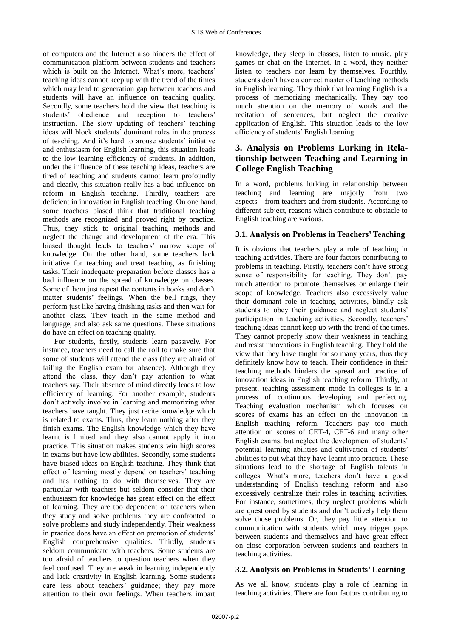#### SHS Web of Conferences

of computers and the Internet also hinders the effect of communication platform between students and teachers which is built on the Internet. What's more, teachers' teaching ideas cannot keep up with the trend of the times which may lead to generation gap between teachers and students will have an influence on teaching quality. Secondly, some teachers hold the view that teaching is students' obedience and reception to teachers' instruction. The slow updating of teachers' teaching ideas will block students' dominant roles in the process of teaching. And it's hard to arouse students' initiative and enthusiasm for English learning, this situation leads to the low learning efficiency of students. In addition, under the influence of these teaching ideas, teachers are tired of teaching and students cannot learn profoundly and clearly, this situation really has a bad influence on reform in English teaching. Thirdly, teachers are deficient in innovation in English teaching. On one hand, some teachers biased think that traditional teaching methods are recognized and proved right by practice. Thus, they stick to original teaching methods and neglect the change and development of the era. This biased thought leads to teachers' narrow scope of knowledge. On the other hand, some teachers lack initiative for teaching and treat teaching as finishing tasks. Their inadequate preparation before classes has a bad influence on the spread of knowledge on classes. Some of them just repeat the contents in books and don't matter students' feelings. When the bell rings, they perform just like having finishing tasks and then wait for another class. They teach in the same method and language, and also ask same questions. These situations do have an effect on teaching quality.

For students, firstly, students learn passively. For instance, teachers need to call the roll to make sure that some of students will attend the class (they are afraid of failing the English exam for absence). Although they attend the class, they don't pay attention to what teachers say. Their absence of mind directly leads to low efficiency of learning. For another example, students don't actively involve in learning and memorizing what teachers have taught. They just recite knowledge which is related to exams. Thus, they learn nothing after they finish exams. The English knowledge which they have learnt is limited and they also cannot apply it into practice. This situation makes students win high scores in exams but have low abilities. Secondly, some students have biased ideas on English teaching. They think that effect of learning mostly depend on teachers' teaching and has nothing to do with themselves. They are particular with teachers but seldom consider that their enthusiasm for knowledge has great effect on the effect of learning. They are too dependent on teachers when they study and solve problems they are confronted to solve problems and study independently. Their weakness in practice does have an effect on promotion of students' English comprehensive qualities. Thirdly, students seldom communicate with teachers. Some students are too afraid of teachers to question teachers when they feel confused. They are weak in learning independently and lack creativity in English learning. Some students care less about teachers' guidance; they pay more attention to their own feelings. When teachers impart

knowledge, they sleep in classes, listen to music, play games or chat on the Internet. In a word, they neither listen to teachers nor learn by themselves. Fourthly, students don't have a correct master of teaching methods in English learning. They think that learning English is a process of memorizing mechanically. They pay too much attention on the memory of words and the recitation of sentences, but neglect the creative application of English. This situation leads to the low efficiency of students' English learning.

## **3. Analysis on Problems Lurking in Relationship between Teaching and Learning in College English Teaching**

In a word, problems lurking in relationship between teaching and learning are majorly from two aspects—from teachers and from students. According to different subject, reasons which contribute to obstacle to English teaching are various.

## **3.1. Analysis on Problems in Teachers' Teaching**

It is obvious that teachers play a role of teaching in teaching activities. There are four factors contributing to problems in teaching. Firstly, teachers don't have strong sense of responsibility for teaching. They don't pay much attention to promote themselves or enlarge their scope of knowledge. Teachers also excessively value their dominant role in teaching activities, blindly ask students to obey their guidance and neglect students' participation in teaching activities. Secondly, teachers' teaching ideas cannot keep up with the trend of the times. They cannot properly know their weakness in teaching and resist innovations in English teaching. They hold the view that they have taught for so many years, thus they definitely know how to teach. Their confidence in their teaching methods hinders the spread and practice of innovation ideas in English teaching reform. Thirdly, at present, teaching assessment mode in colleges is in a process of continuous developing and perfecting. Teaching evaluation mechanism which focuses on scores of exams has an effect on the innovation in English teaching reform. Teachers pay too much attention on scores of CET-4, CET-6 and many other English exams, but neglect the development of students' potential learning abilities and cultivation of students' abilities to put what they have learnt into practice. These situations lead to the shortage of English talents in colleges. What's more, teachers don't have a good understanding of English teaching reform and also excessively centralize their roles in teaching activities. For instance, sometimes, they neglect problems which are questioned by students and don't actively help them solve those problems. Or, they pay little attention to communication with students which may trigger gaps between students and themselves and have great effect on close corporation between students and teachers in teaching activities.

## **3.2. Analysis on Problems in Students' Learning**

As we all know, students play a role of learning in teaching activities. There are four factors contributing to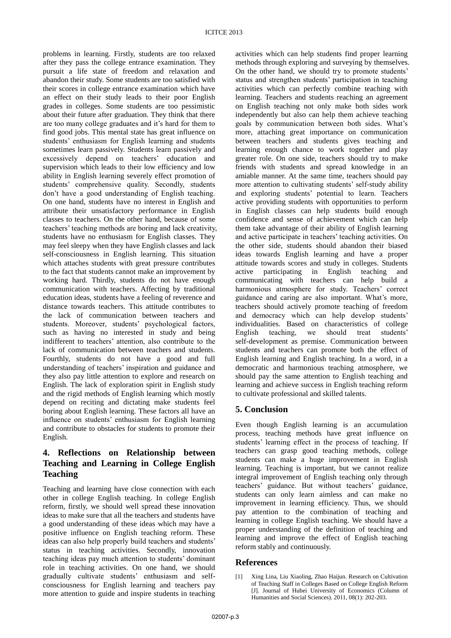problems in learning. Firstly, students are too relaxed after they pass the college entrance examination. They pursuit a life state of freedom and relaxation and abandon their study. Some students are too satisfied with their scores in college entrance examination which have an effect on their study leads to their poor English grades in colleges. Some students are too pessimistic about their future after graduation. They think that there are too many college graduates and it's hard for them to find good jobs. This mental state has great influence on students' enthusiasm for English learning and students sometimes learn passively. Students learn passively and excessively depend on teachers' education and supervision which leads to their low efficiency and low ability in English learning severely effect promotion of students' comprehensive quality. Secondly, students don't have a good understanding of English teaching. On one hand, students have no interest in English and attribute their unsatisfactory performance in English classes to teachers. On the other hand, because of some teachers' teaching methods are boring and lack creativity, students have no enthusiasm for English classes. They may feel sleepy when they have English classes and lack self-consciousness in English learning. This situation which attaches students with great pressure contributes to the fact that students cannot make an improvement by working hard. Thirdly, students do not have enough communication with teachers. Affecting by traditional education ideas, students have a feeling of reverence and distance towards teachers. This attitude contributes to the lack of communication between teachers and students. Moreover, students' psychological factors, such as having no interested in study and being indifferent to teachers' attention, also contribute to the lack of communication between teachers and students. Fourthly, students do not have a good and full understanding of teachers' inspiration and guidance and they also pay little attention to explore and research on English. The lack of exploration spirit in English study and the rigid methods of English learning which mostly depend on reciting and dictating make students feel boring about English learning. These factors all have an influence on students' enthusiasm for English learning and contribute to obstacles for students to promote their English.

# **4. Reflections on Relationship between Teaching and Learning in College English Teaching**

Teaching and learning have close connection with each other in college English teaching. In college English reform, firstly, we should well spread these innovation ideas to make sure that all the teachers and students have a good understanding of these ideas which may have a positive influence on English teaching reform. These ideas can also help properly build teachers and students' status in teaching activities. Secondly, innovation teaching ideas pay much attention to students' dominant role in teaching activities. On one hand, we should gradually cultivate students' enthusiasm and selfconsciousness for English learning and teachers pay more attention to guide and inspire students in teaching activities which can help students find proper learning methods through exploring and surveying by themselves. On the other hand, we should try to promote students' status and strengthen students' participation in teaching activities which can perfectly combine teaching with learning. Teachers and students reaching an agreement on English teaching not only make both sides work independently but also can help them achieve teaching goals by communication between both sides. What's more, attaching great importance on communication between teachers and students gives teaching and learning enough chance to work together and play greater role. On one side, teachers should try to make friends with students and spread knowledge in an amiable manner. At the same time, teachers should pay more attention to cultivating students' self-study ability and exploring students' potential to learn. Teachers active providing students with opportunities to perform in English classes can help students build enough confidence and sense of achievement which can help them take advantage of their ability of English learning and active participate in teachers' teaching activities. On the other side, students should abandon their biased ideas towards English learning and have a proper attitude towards scores and study in colleges. Students active participating in English teaching and communicating with teachers can help build a harmonious atmosphere for study. Teachers' correct guidance and caring are also important. What's more, teachers should actively promote teaching of freedom and democracy which can help develop students' individualities. Based on characteristics of college English teaching, we should treat students' self-development as premise. Communication between students and teachers can promote both the effect of English learning and English teaching. In a word, in a democratic and harmonious teaching atmosphere, we should pay the same attention to English teaching and learning and achieve success in English teaching reform to cultivate professional and skilled talents.

## **5. Conclusion**

Even though English learning is an accumulation process, teaching methods have great influence on students' learning effect in the process of teaching. If teachers can grasp good teaching methods, college students can make a huge improvement in English learning. Teaching is important, but we cannot realize integral improvement of English teaching only through teachers' guidance. But without teachers' guidance, students can only learn aimless and can make no improvement in learning efficiency. Thus, we should pay attention to the combination of teaching and learning in college English teaching. We should have a proper understanding of the definition of teaching and learning and improve the effect of English teaching reform stably and continuously.

## **References**

[1] Xing Lina, Liu Xiaoling, Zhao Haijun. Research on Cultivation of Teaching Staff in Colleges Based on College English Reform [J]. Journal of Hubei University of Economics (Column of Humanities and Social Sciences). 2011, 08(1): 202-203.